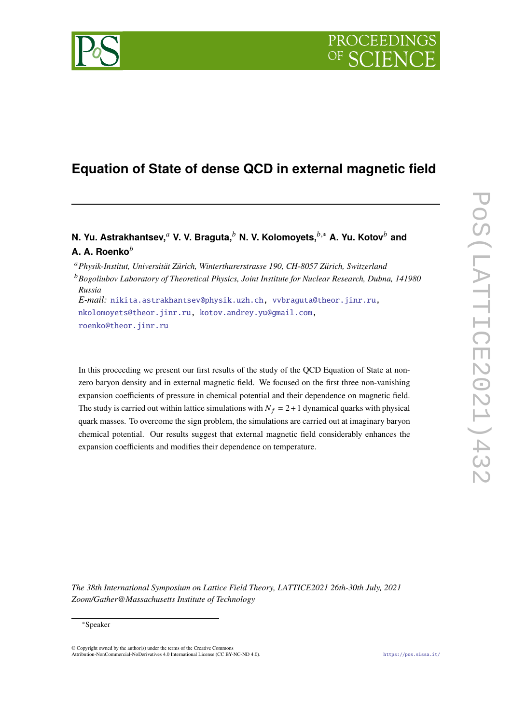# **Equation of State of dense QCD in external magnetic field**

## **N. Yu. Astrakhantsev,** av. V. Braguta, b N. V. Kolomoyets, b,\* A. Yu. Kotov b and **A. A. Roenko**

*Physik-Institut, Universität Zürich, Winterthurerstrasse 190, CH-8057 Zürich, Switzerland*

*Bogoliubov Laboratory of Theoretical Physics, Joint Institute for Nuclear Research, Dubna, 141980 Russia*

*E-mail:* [nikita.astrakhantsev@physik.uzh.ch,](mailto:nikita.astrakhantsev@physik.uzh.ch) [vvbraguta@theor.jinr.ru,](mailto:vvbraguta@theor.jinr.ru) [nkolomoyets@theor.jinr.ru,](mailto:nkolomoyets@theor.jinr.ru) [kotov.andrey.yu@gmail.com,](mailto:kotov.andrey.yu@gmail.com) [roenko@theor.jinr.ru](mailto:roenko@theor.jinr.ru)

In this proceeding we present our first results of the study of the QCD Equation of State at nonzero baryon density and in external magnetic field. We focused on the first three non-vanishing expansion coefficients of pressure in chemical potential and their dependence on magnetic field. The study is carried out within lattice simulations with  $N_f = 2 + 1$  dynamical quarks with physical quark masses. To overcome the sign problem, the simulations are carried out at imaginary baryon chemical potential. Our results suggest that external magnetic field considerably enhances the expansion coefficients and modifies their dependence on temperature.

*The 38th International Symposium on Lattice Field Theory, LATTICE2021 26th-30th July, 2021 Zoom/Gather@Massachusetts Institute of Technology*

#### ∗Speaker

© Copyright owned by the author(s) under the terms of the Creative Commons Attribution-NonCommercial-NoDerivatives 4.0 International License (CC BY-NC-ND 4.0). <https://pos.sissa.it/>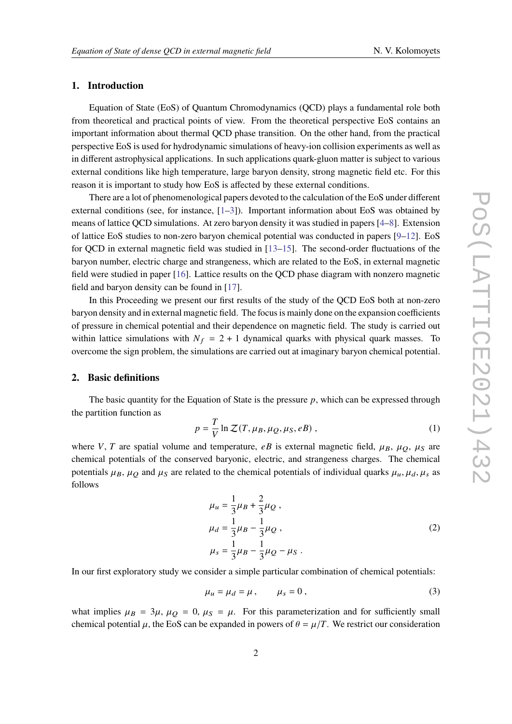#### **1. Introduction**

Equation of State (EoS) of Quantum Chromodynamics (QCD) plays a fundamental role both from theoretical and practical points of view. From the theoretical perspective EoS contains an important information about thermal QCD phase transition. On the other hand, from the practical perspective EoS is used for hydrodynamic simulations of heavy-ion collision experiments as well as in different astrophysical applications. In such applications quark-gluon matter is subject to various external conditions like high temperature, large baryon density, strong magnetic field etc. For this reason it is important to study how EoS is affected by these external conditions.

There are a lot of phenomenological papers devoted to the calculation of the EoS under different external conditions (see, for instance,  $[1-3]$  $[1-3]$ ). Important information about EoS was obtained by means of lattice QCD simulations. At zero baryon density it was studied in papers [\[4–](#page-6-1)[8\]](#page-6-2). Extension of lattice EoS studies to non-zero baryon chemical potential was conducted in papers [\[9–](#page-6-3)[12\]](#page-6-4). EoS for QCD in external magnetic field was studied in [\[13–](#page-6-5)[15\]](#page-6-6). The second-order fluctuations of the baryon number, electric charge and strangeness, which are related to the EoS, in external magnetic field were studied in paper [\[16\]](#page-7-0). Lattice results on the QCD phase diagram with nonzero magnetic field and baryon density can be found in [\[17\]](#page-7-1).

In this Proceeding we present our first results of the study of the QCD EoS both at non-zero baryon density and in external magnetic field. The focus is mainly done on the expansion coefficients of pressure in chemical potential and their dependence on magnetic field. The study is carried out within lattice simulations with  $N_f = 2 + 1$  dynamical quarks with physical quark masses. To overcome the sign problem, the simulations are carried out at imaginary baryon chemical potential.

#### **2. Basic definitions**

The basic quantity for the Equation of State is the pressure  $p$ , which can be expressed through the partition function as

$$
p = \frac{T}{V} \ln \mathcal{Z}(T, \mu_B, \mu_Q, \mu_S, eB) ,
$$
 (1)

where V, T are spatial volume and temperature, eB is external magnetic field,  $\mu_B$ ,  $\mu_O$ ,  $\mu_S$  are chemical potentials of the conserved baryonic, electric, and strangeness charges. The chemical potentials  $\mu_B$ ,  $\mu_Q$  and  $\mu_S$  are related to the chemical potentials of individual quarks  $\mu_u$ ,  $\mu_d$ ,  $\mu_s$  as follows

$$
\mu_u = \frac{1}{3}\mu_B + \frac{2}{3}\mu_Q ,
$$
  
\n
$$
\mu_d = \frac{1}{3}\mu_B - \frac{1}{3}\mu_Q ,
$$
  
\n
$$
\mu_s = \frac{1}{3}\mu_B - \frac{1}{3}\mu_Q - \mu_S .
$$
\n(2)

In our first exploratory study we consider a simple particular combination of chemical potentials:

$$
\mu_u = \mu_d = \mu, \qquad \mu_s = 0, \tag{3}
$$

what implies  $\mu_B = 3\mu$ ,  $\mu_O = 0$ ,  $\mu_S = \mu$ . For this parameterization and for sufficiently small chemical potential  $\mu$ , the EoS can be expanded in powers of  $\theta = \mu/T$ . We restrict our consideration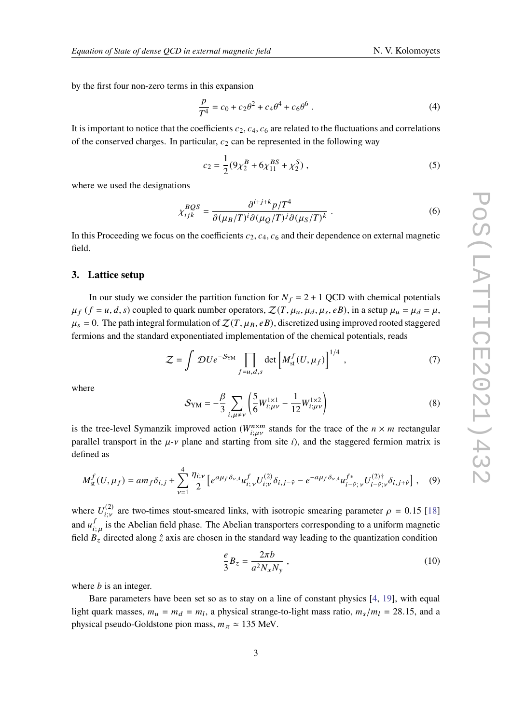by the first four non-zero terms in this expansion

$$
\frac{p}{T^4} = c_0 + c_2 \theta^2 + c_4 \theta^4 + c_6 \theta^6 \,. \tag{4}
$$

It is important to notice that the coefficients  $c_2$ ,  $c_4$ ,  $c_6$  are related to the fluctuations and correlations of the conserved charges. In particular,  $c_2$  can be represented in the following way

$$
c_2 = \frac{1}{2} (9 \chi_2^B + 6 \chi_{11}^{BS} + \chi_2^S), \tag{5}
$$

where we used the designations

$$
\chi_{ijk}^{BQS} = \frac{\partial^{i+j+k} p/T^4}{\partial (\mu_B/T)^i \partial (\mu_O/T)^j \partial (\mu_S/T)^k} \,. \tag{6}
$$

In this Proceeding we focus on the coefficients  $c_2$ ,  $c_4$ ,  $c_6$  and their dependence on external magnetic field.

#### **3. Lattice setup**

In our study we consider the partition function for  $N_f = 2 + 1$  QCD with chemical potentials  $\mu_f$  ( $f = u, d, s$ ) coupled to quark number operators,  $\mathcal{Z}(T, \mu_u, \mu_d, \mu_s, eB)$ , in a setup  $\mu_u = \mu_d = \mu$ ,  $\mu_s = 0$ . The path integral formulation of  $\mathcal{Z}(T, \mu_B, eB)$ , discretized using improved rooted staggered fermions and the standard exponentiated implementation of the chemical potentials, reads

$$
Z = \int DU e^{-S_{YM}} \prod_{f=u,d,s} \det \left[ M_{\rm st}^f(U,\mu_f) \right]^{1/4}, \qquad (7)
$$

where

$$
S_{\rm YM} = -\frac{\beta}{3} \sum_{i,\mu \neq \nu} \left( \frac{5}{6} W_{i;\mu\nu}^{1 \times 1} - \frac{1}{12} W_{i;\mu\nu}^{1 \times 2} \right)
$$
(8)

is the tree-level Symanzik improved action ( $W_{i,u,v}^{n \times m}$  stands for the trace of the  $n \times m$  rectangular parallel transport in the  $\mu$ - $\nu$  plane and starting from site i), and the staggered fermion matrix is defined as

$$
M_{\rm st}^f(U,\mu_f) = am_f \delta_{i,j} + \sum_{\nu=1}^4 \frac{\eta_{i;\nu}}{2} \left[ e^{a\mu_f \delta_{\nu,4}} u_{i;\nu}^f U_{i;\nu}^{(2)} \delta_{i,j-\hat{\nu}} - e^{-a\mu_f \delta_{\nu,4}} u_{i-\hat{\nu};\nu}^{f^*} U_{i-\hat{\nu};\nu}^{(2)\dagger} \delta_{i,j+\hat{\nu}} \right], \quad (9)
$$

where  $U_{i,v}^{(2)}$  are two-times stout-smeared links, with isotropic smearing parameter  $\rho = 0.15$  [\[18\]](#page-7-2) and  $u^f$  $\int_{i,u}^{f}$  is the Abelian field phase. The Abelian transporters corresponding to a uniform magnetic field  $B_z$  directed along  $\hat{z}$  axis are chosen in the standard way leading to the quantization condition

$$
\frac{e}{3}B_z = \frac{2\pi b}{a^2 N_x N_y},\tag{10}
$$

where  $b$  is an integer.

Bare parameters have been set so as to stay on a line of constant physics [\[4,](#page-6-1) [19\]](#page-7-3), with equal light quark masses,  $m_u = m_d = m_l$ , a physical strange-to-light mass ratio,  $m_s/m_l = 28.15$ , and a physical pseudo-Goldstone pion mass,  $m_\pi \simeq 135$  MeV.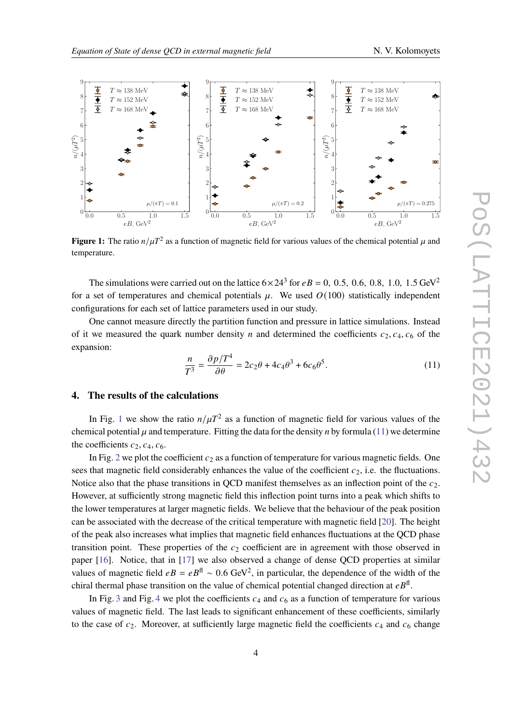<span id="page-3-0"></span>

**Figure 1:** The ratio  $n/\mu T^2$  as a function of magnetic field for various values of the chemical potential  $\mu$  and temperature.

The simulations were carried out on the lattice  $6 \times 24^3$  for  $eB = 0$ , 0.5, 0.6, 0.8, 1.0, 1.5 GeV<sup>2</sup> for a set of temperatures and chemical potentials  $\mu$ . We used  $O(100)$  statistically independent configurations for each set of lattice parameters used in our study.

One cannot measure directly the partition function and pressure in lattice simulations. Instead of it we measured the quark number density *n* and determined the coefficients  $c_2, c_4, c_6$  of the expansion:

<span id="page-3-1"></span>
$$
\frac{n}{T^3} = \frac{\partial p/T^4}{\partial \theta} = 2c_2\theta + 4c_4\theta^3 + 6c_6\theta^5.
$$
 (11)

#### **4. The results of the calculations**

In Fig. [1](#page-3-0) we show the ratio  $n/\mu T^2$  as a function of magnetic field for various values of the chemical potential  $\mu$  and temperature. Fitting the data for the density *n* by formula [\(11\)](#page-3-1) we determine the coefficients  $c_2, c_4, c_6$ .

In Fig. [2](#page-4-0) we plot the coefficient  $c_2$  as a function of temperature for various magnetic fields. One sees that magnetic field considerably enhances the value of the coefficient  $c_2$ , i.e. the fluctuations. Notice also that the phase transitions in QCD manifest themselves as an inflection point of the  $c_2$ . However, at sufficiently strong magnetic field this inflection point turns into a peak which shifts to the lower temperatures at larger magnetic fields. We believe that the behaviour of the peak position can be associated with the decrease of the critical temperature with magnetic field [\[20\]](#page-7-4). The height of the peak also increases what implies that magnetic field enhances fluctuations at the QCD phase transition point. These properties of the  $c<sub>2</sub>$  coefficient are in agreement with those observed in paper [\[16\]](#page-7-0). Notice, that in [\[17\]](#page-7-1) we also observed a change of dense QCD properties at similar values of magnetic field  $eB = eB^{\text{fl}} \sim 0.6 \text{ GeV}^2$ , in particular, the dependence of the width of the chiral thermal phase transition on the value of chemical potential changed direction at  $e^{i\theta}$ .

In Fig. [3](#page-4-1) and Fig. [4](#page-5-1) we plot the coefficients  $c_4$  and  $c_6$  as a function of temperature for various values of magnetic field. The last leads to significant enhancement of these coefficients, similarly to the case of  $c_2$ . Moreover, at sufficiently large magnetic field the coefficients  $c_4$  and  $c_6$  change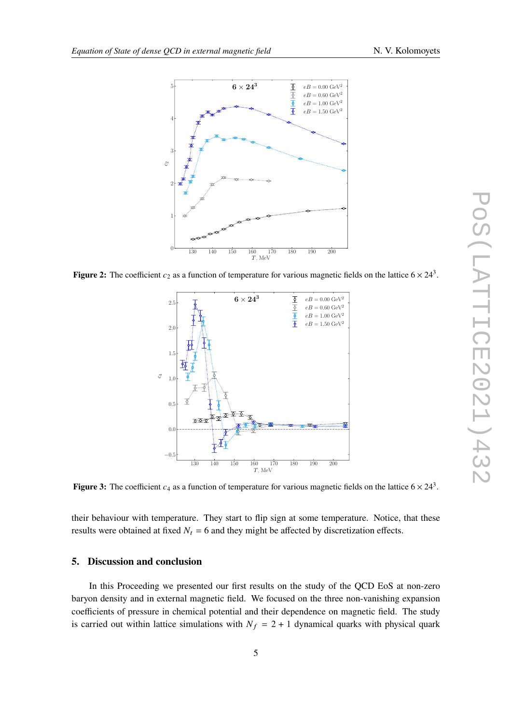<span id="page-4-0"></span>

<span id="page-4-1"></span>Figure 2: The coefficient  $c_2$  as a function of temperature for various magnetic fields on the lattice  $6 \times 24^3$ .



**Figure 3:** The coefficient  $c_4$  as a function of temperature for various magnetic fields on the lattice  $6 \times 24^3$ .

their behaviour with temperature. They start to flip sign at some temperature. Notice, that these results were obtained at fixed  $N_t = 6$  and they might be affected by discretization effects.

### **5. Discussion and conclusion**

In this Proceeding we presented our first results on the study of the QCD EoS at non-zero baryon density and in external magnetic field. We focused on the three non-vanishing expansion coefficients of pressure in chemical potential and their dependence on magnetic field. The study is carried out within lattice simulations with  $N_f = 2 + 1$  dynamical quarks with physical quark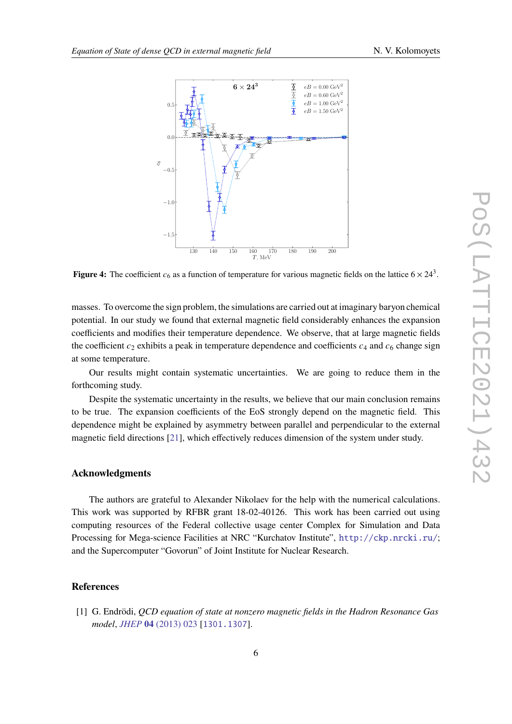<span id="page-5-1"></span>

**Figure 4:** The coefficient  $c_6$  as a function of temperature for various magnetic fields on the lattice  $6 \times 24^3$ .

masses. To overcome the sign problem, the simulations are carried out at imaginary baryon chemical potential. In our study we found that external magnetic field considerably enhances the expansion coefficients and modifies their temperature dependence. We observe, that at large magnetic fields the coefficient  $c_2$  exhibits a peak in temperature dependence and coefficients  $c_4$  and  $c_6$  change sign at some temperature.

Our results might contain systematic uncertainties. We are going to reduce them in the forthcoming study.

Despite the systematic uncertainty in the results, we believe that our main conclusion remains to be true. The expansion coefficients of the EoS strongly depend on the magnetic field. This dependence might be explained by asymmetry between parallel and perpendicular to the external magnetic field directions [\[21\]](#page-7-5), which effectively reduces dimension of the system under study.

#### **Acknowledgments**

The authors are grateful to Alexander Nikolaev for the help with the numerical calculations. This work was supported by RFBR grant 18-02-40126. This work has been carried out using computing resources of the Federal collective usage center Complex for Simulation and Data Processing for Mega-science Facilities at NRC "Kurchatov Institute", <http://ckp.nrcki.ru/>; and the Supercomputer "Govorun" of Joint Institute for Nuclear Research.

#### **References**

<span id="page-5-0"></span>[1] G. Endrödi, *QCD equation of state at nonzero magnetic fields in the Hadron Resonance Gas model*, *JHEP* **04** [\(2013\) 023](https://doi.org/10.1007/JHEP04(2013)023) [[1301.1307](https://arxiv.org/abs/1301.1307)].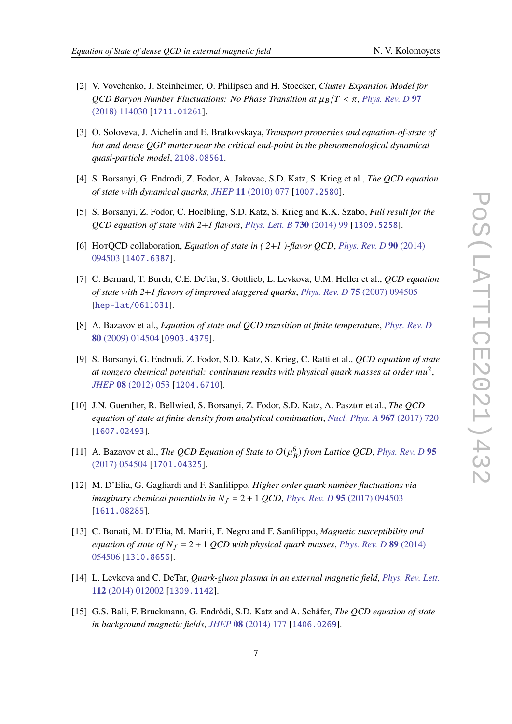- 
- [2] V. Vovchenko, J. Steinheimer, O. Philipsen and H. Stoecker, *Cluster Expansion Model for QCD Baryon Number Fluctuations: No Phase Transition at*  $\mu_B/T < \pi$ , *[Phys. Rev. D](https://doi.org/10.1103/PhysRevD.97.114030)* 97 [\(2018\) 114030](https://doi.org/10.1103/PhysRevD.97.114030) [[1711.01261](https://arxiv.org/abs/1711.01261)].
- <span id="page-6-0"></span>[3] O. Soloveva, J. Aichelin and E. Bratkovskaya, *Transport properties and equation-of-state of hot and dense QGP matter near the critical end-point in the phenomenological dynamical quasi-particle model*, [2108.08561](https://arxiv.org/abs/2108.08561).
- <span id="page-6-1"></span>[4] S. Borsanyi, G. Endrodi, Z. Fodor, A. Jakovac, S.D. Katz, S. Krieg et al., *The QCD equation of state with dynamical quarks*, *JHEP* **11** [\(2010\) 077](https://doi.org/10.1007/JHEP11(2010)077) [[1007.2580](https://arxiv.org/abs/1007.2580)].
- [5] S. Borsanyi, Z. Fodor, C. Hoelbling, S.D. Katz, S. Krieg and K.K. Szabo, *Full result for the QCD equation of state with 2+1 flavors*, *[Phys. Lett. B](https://doi.org/10.1016/j.physletb.2014.01.007)* **730** (2014) 99 [[1309.5258](https://arxiv.org/abs/1309.5258)].
- [6] HotQCD collaboration, *Equation of state in ( 2+1 )-flavor QCD*, *[Phys. Rev. D](https://doi.org/10.1103/PhysRevD.90.094503)* **90** (2014) [094503](https://doi.org/10.1103/PhysRevD.90.094503) [[1407.6387](https://arxiv.org/abs/1407.6387)].
- [7] C. Bernard, T. Burch, C.E. DeTar, S. Gottlieb, L. Levkova, U.M. Heller et al., *QCD equation of state with 2+1 flavors of improved staggered quarks*, *[Phys. Rev. D](https://doi.org/10.1103/PhysRevD.75.094505)* **75** (2007) 094505 [[hep-lat/0611031](https://arxiv.org/abs/hep-lat/0611031)].
- <span id="page-6-2"></span>[8] A. Bazavov et al., *Equation of state and QCD transition at finite temperature*, *[Phys. Rev. D](https://doi.org/10.1103/PhysRevD.80.014504)* **80** [\(2009\) 014504](https://doi.org/10.1103/PhysRevD.80.014504) [[0903.4379](https://arxiv.org/abs/0903.4379)].
- <span id="page-6-3"></span>[9] S. Borsanyi, G. Endrodi, Z. Fodor, S.D. Katz, S. Krieg, C. Ratti et al., *QCD equation of state* at nonzero chemical potential:  $\,$  continuum results with physical quark masses at order mu $^2,$ *JHEP* **08** [\(2012\) 053](https://doi.org/10.1007/JHEP08(2012)053) [[1204.6710](https://arxiv.org/abs/1204.6710)].
- [10] J.N. Guenther, R. Bellwied, S. Borsanyi, Z. Fodor, S.D. Katz, A. Pasztor et al., *The QCD equation of state at finite density from analytical continuation*, *[Nucl. Phys. A](https://doi.org/10.1016/j.nuclphysa.2017.05.044)* **967** (2017) 720 [[1607.02493](https://arxiv.org/abs/1607.02493)].
- [11] A. Bazavov et al., *The QCD Equation of State to*  $O(\mu_B^6)$  *from Lattice QCD*, *[Phys. Rev. D](https://doi.org/10.1103/PhysRevD.95.054504)* 95 [\(2017\) 054504](https://doi.org/10.1103/PhysRevD.95.054504) [[1701.04325](https://arxiv.org/abs/1701.04325)].
- <span id="page-6-4"></span>[12] M. D'Elia, G. Gagliardi and F. Sanfilippo, *Higher order quark number fluctuations via imaginary chemical potentials in*  $N_f = 2 + 1$  *QCD*, *[Phys. Rev. D](https://doi.org/10.1103/PhysRevD.95.094503)* **95** (2017) 094503 [[1611.08285](https://arxiv.org/abs/1611.08285)].
- <span id="page-6-5"></span>[13] C. Bonati, M. D'Elia, M. Mariti, F. Negro and F. Sanfilippo, *Magnetic susceptibility and equation of state of*  $N_f = 2 + 1$  *QCD with physical quark masses, [Phys. Rev. D](https://doi.org/10.1103/PhysRevD.89.054506)* **89** (2014) [054506](https://doi.org/10.1103/PhysRevD.89.054506) [[1310.8656](https://arxiv.org/abs/1310.8656)].
- [14] L. Levkova and C. DeTar, *Quark-gluon plasma in an external magnetic field*, *[Phys. Rev. Lett.](https://doi.org/10.1103/PhysRevLett.112.012002)* **112** [\(2014\) 012002](https://doi.org/10.1103/PhysRevLett.112.012002) [[1309.1142](https://arxiv.org/abs/1309.1142)].
- <span id="page-6-6"></span>[15] G.S. Bali, F. Bruckmann, G. Endrödi, S.D. Katz and A. Schäfer, *The QCD equation of state in background magnetic fields*, *JHEP* **08** [\(2014\) 177](https://doi.org/10.1007/JHEP08(2014)177) [[1406.0269](https://arxiv.org/abs/1406.0269)].